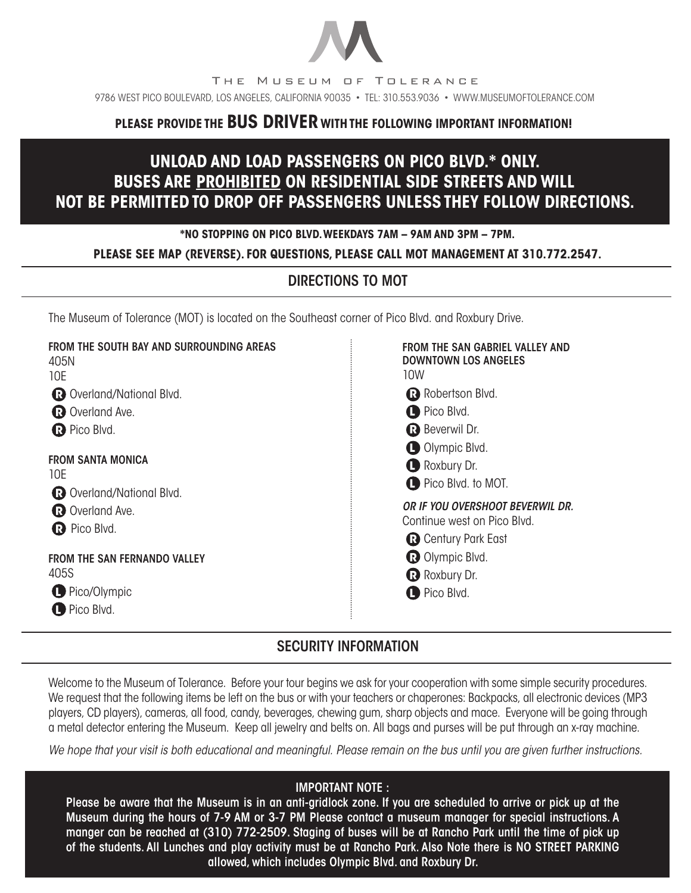

# **PLEASE PROVIDE THE BUS DRIVER WITH THE FOLLOWING IMPORTANT INFORMATION!**

# **UNLOAD AND LOAD PASSENGERS ON PICO BLVD.\* ONLY. BUSES ARE PROHIBITED ON RESIDENTIAL SIDE STREETS AND WILL NOT BE PERMITTED TO DROP OFF PASSENGERS UNLESS THEY FOLLOW DIRECTIONS.**

#### **\*NO STOPPING ON PICO BLVD. WEEKDAYS 7AM – 9AM AND 3PM – 7PM.**

### **PLEASE SEE MAP (REVERSE). FOR QUESTIONS, PLEASE CALL MOT MANAGEMENT AT 310.772.2547.**

### DIRECTIONS TO MOT

The Museum of Tolerance (MOT) is located on the Southeast corner of Pico Blvd. and Roxbury Drive.

| FROM THE SOUTH BAY AND SURROUNDING AREAS<br>405N<br>10E<br><b>R</b> Overland/National Blvd.<br><b>R</b> Overland Ave.<br><b>R</b> Pico Blvd.<br><b>FROM SANTA MONICA</b><br>10E<br><b>R</b> Overland/National Blvd.<br>R Overland Ave.<br>R Pico Blvd. | <b>FROM THE SAN GABRIEL VALLEY AND</b><br><b>DOWNTOWN LOS ANGELES</b><br>10W<br>Robertson Blvd.<br><b>O</b> Pico Blvd.<br><b>R</b> Beverwil Dr.<br>Olympic Blvd.<br>Roxbury Dr. |
|--------------------------------------------------------------------------------------------------------------------------------------------------------------------------------------------------------------------------------------------------------|---------------------------------------------------------------------------------------------------------------------------------------------------------------------------------|
|                                                                                                                                                                                                                                                        | Pico Blvd. to MOT.<br>OR IF YOU OVERSHOOT BEVERWIL DR.<br>Continue west on Pico Blvd.<br><b>R</b> Century Park East                                                             |
| <b>FROM THE SAN FERNANDO VALLEY</b><br>405S<br>Pico/Olympic<br>Pico Blvd.                                                                                                                                                                              | <b>R</b> Olympic Blvd.<br>Roxbury Dr.<br>Pico Blvd.                                                                                                                             |

## SECURITY INFORMATION

Welcome to the Museum of Tolerance. Before your tour begins we ask for your cooperation with some simple security procedures. We request that the following items be left on the bus or with your teachers or chaperones: Backpacks, all electronic devices (MP3 players, CD players), cameras, all food, candy, beverages, chewing gum, sharp objects and mace. Everyone will be going through a metal detector entering the Museum. Keep all jewelry and belts on. All bags and purses will be put through an x-ray machine.

*We hope that your visit is both educational and meaningful. Please remain on the bus until you are given further instructions.*

### IMPORTANT NOTE :

Please be aware that the Museum is in an anti-gridlock zone. If you are scheduled to arrive or pick up at the Museum during the hours of 7-9 AM or 3-7 PM Please contact a museum manager for special instructions. A manger can be reached at (310) 772-2509. Staging of buses will be at Rancho Park until the time of pick up of the students. All Lunches and play activity must be at Rancho Park. Also Note there is NO STREET PARKING allowed, which includes Olympic Blvd. and Roxbury Dr.